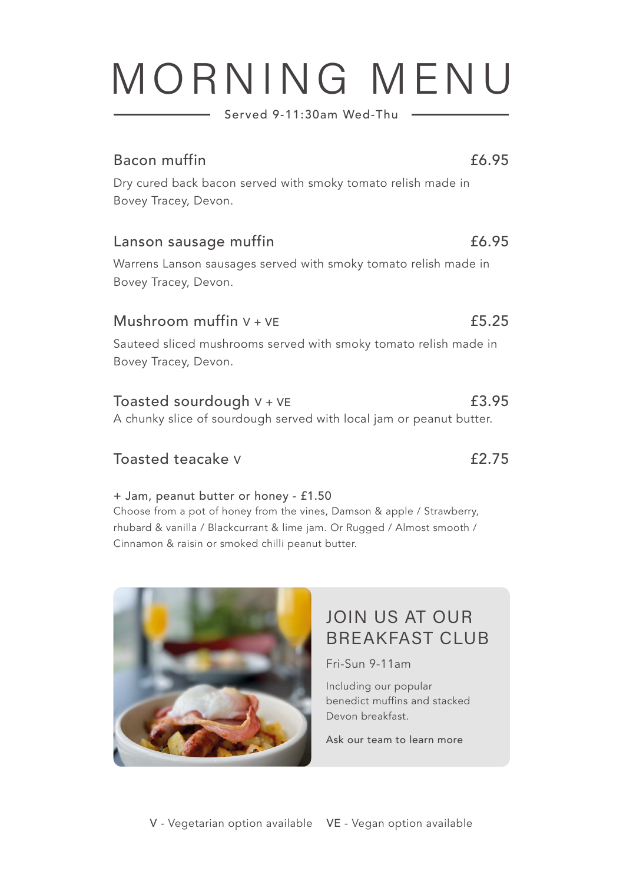## MORNING MENU

Served 9-11:30am Wed-Thu

#### Bacon muffin

Dry cured back bacon served with smoky tomato relish made in Bovey Tracey, Devon.

#### Lanson sausage muffin

Warrens Lanson sausages served with smoky tomato relish made in Bovey Tracey, Devon.

#### Mushroom muffin  $V + VF$

Sauteed sliced mushrooms served with smoky tomato relish made in Bovey Tracey, Devon.

#### Toasted sourdough  $V + VE$

A chunky slice of sourdough served with local jam or peanut butter.

### Toasted teacake v  $\overline{2.75}$

#### + Jam, peanut butter or honey - £1.50

Choose from a pot of honey from the vines, Damson & apple / Strawberry, rhubard & vanilla / Blackcurrant & lime jam. Or Rugged / Almost smooth / Cinnamon & raisin or smoked chilli peanut butter.



Fri-Sun 9-11am

Including our popular benedict muffins and stacked Devon breakfast.

Ask our team to learn more



#### £6.95

£6.95

£5.25

£3.95